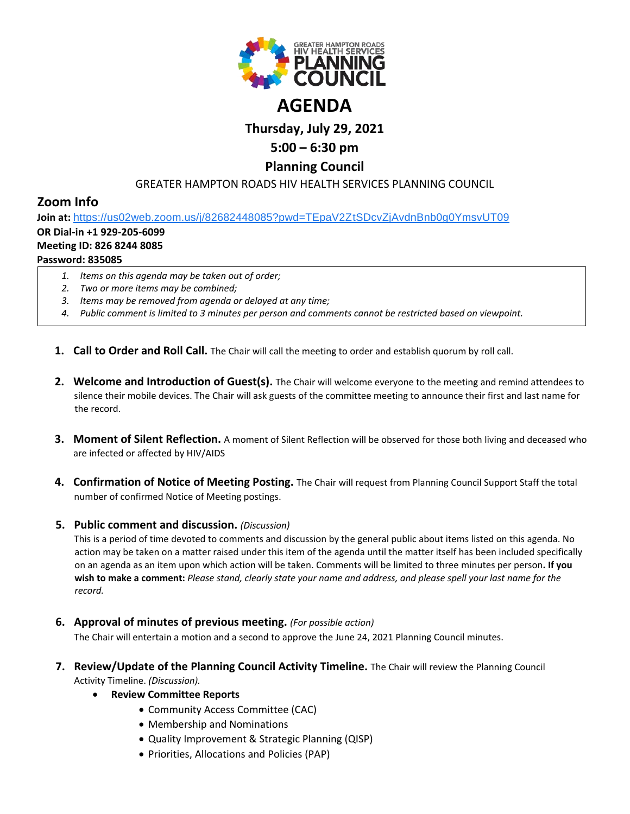

# **Thursday, July 29, 2021**

# **5:00 – 6:30 pm**

# **Planning Council**

## GREATER HAMPTON ROADS HIV HEALTH SERVICES PLANNING COUNCIL

# **Zoom Info**

**Join at:** [https://us02web.zoom.us/j/82682448085?pwd=TEpaV2ZtSDcvZjAvdnBnb0g0YmsvUT09](https://www.google.com/url?q=https://us02web.zoom.us/j/82682448085?pwd%3DTEpaV2ZtSDcvZjAvdnBnb0g0YmsvUT09&sa=D&source=calendar&ust=1619875881860000&usg=AOvVaw0zwYUyYOogd54DiewQ0YcP)

## **OR Dial-in +1 929-205-6099**

#### **Meeting ID: 826 8244 8085**

## **Password: 835085**

- *1. Items on this agenda may be taken out of order;*
- *2. Two or more items may be combined;*
- *3. Items may be removed from agenda or delayed at any time;*
- *4. Public comment is limited to 3 minutes per person and comments cannot be restricted based on viewpoint.*
- **1. Call to Order and Roll Call.** The Chair will call the meeting to order and establish quorum by roll call.
- **2. Welcome and Introduction of Guest(s).** The Chair will welcome everyone to the meeting and remind attendees to silence their mobile devices. The Chair will ask guests of the committee meeting to announce their first and last name for the record.
- **3. Moment of Silent Reflection.** A moment of Silent Reflection will be observed for those both living and deceased who are infected or affected by HIV/AIDS
- **4. Confirmation of Notice of Meeting Posting.** The Chair will request from Planning Council Support Staff the total number of confirmed Notice of Meeting postings.

### **5. Public comment and discussion.** *(Discussion)*

This is a period of time devoted to comments and discussion by the general public about items listed on this agenda. No action may be taken on a matter raised under this item of the agenda until the matter itself has been included specifically on an agenda as an item upon which action will be taken. Comments will be limited to three minutes per person**. If you wish to make a comment:** *Please stand, clearly state your name and address, and please spell your last name for the record.*

**6. Approval of minutes of previous meeting.** *(For possible action)*

The Chair will entertain a motion and a second to approve the June 24, 2021 Planning Council minutes.

- **7. Review/Update of the Planning Council Activity Timeline.** The Chair will review the Planning Council Activity Timeline. *(Discussion).*
	- **Review Committee Reports**
		- Community Access Committee (CAC)
		- Membership and Nominations
		- Quality Improvement & Strategic Planning (QISP)
		- Priorities, Allocations and Policies (PAP)